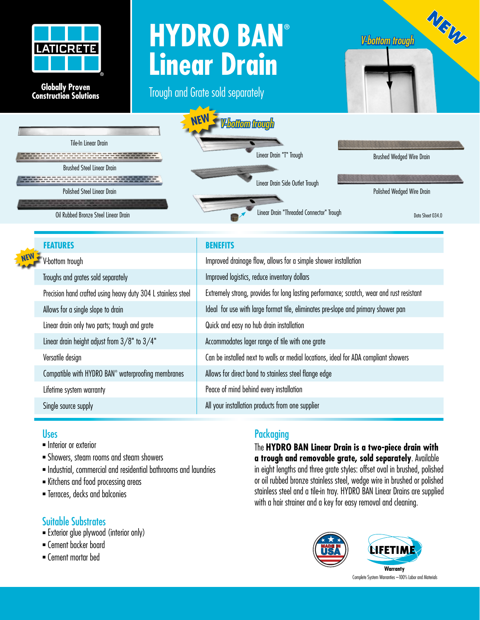

## **Globally Proven Construction Solutions Globally Proven Construction Solutions**

# **HYDRO BAN® Linear Drain**

Trough and Grate sold separately





| Extremely strong, provides for long lasting performance; scratch, wear and rust resistant |
|-------------------------------------------------------------------------------------------|
|                                                                                           |
|                                                                                           |
|                                                                                           |
|                                                                                           |
|                                                                                           |
|                                                                                           |
|                                                                                           |
|                                                                                           |

### Uses

- **n** Interior or exterior
- <sup>n</sup> Showers, steam rooms and steam showers
- $\blacksquare$  Industrial, commercial and residential bathrooms and laundries
- **Kitchens and food processing areas**
- <sup>n</sup> Terraces, decks and balconies

### Suitable Substrates

- **Exterior glue plywood (interior only)**
- <sup>n</sup> Cement backer board
- <sup>n</sup> Cement mortar bed

## **Packaging**

The **HYDRO BAN Linear Drain is a two-piece drain with a trough and removable grate, sold separately**. Available in eight lengths and three grate styles: offset oval in brushed, polished or oil rubbed bronze stainless steel, wedge wire in brushed or polished stainless steel and a tile-in tray. HYDRO BAN Linear Drains are supplied with a hair strainer and a key for easy removal and cleaning.